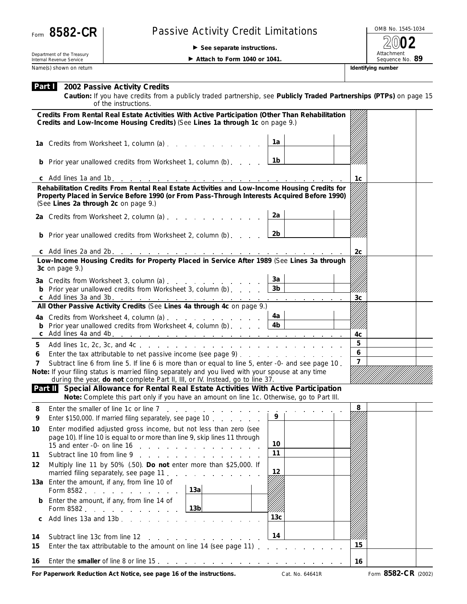

## Form 8582-CR | Passive Activity Credit Limitations

**See separate instructions.**

OMB No. 1545-1034 Attachment<br>Sequence No. 89 **2002**

Department of the Treasury Internal Revenue Service Name(s) shown on return **IDENTIFYING INCOLLECT CONTACT THE CONTACT OF THE CONTACT OF THE CONTACT OF THE CONTACT OF THE CONTACT OF THE CONTACT OF THE CONTACT OF THE CONTACT OF THE CONTACT OF THE CONTACT OF THE CONTACT OF TH** 

**Attach to Form 1040 or 1041.** 

| <b>Part 1</b> 2002 Passive Activity Credits |
|---------------------------------------------|
|---------------------------------------------|

**Caution:** *If you have credits from a publicly traded partnership, see Publicly Traded Partnerships (PTPs) on page 15 of the instructions.*

|                                                                                                                                                                                     | Credits From Rental Real Estate Activities With Active Participation (Other Than Rehabilitation<br>Credits and Low-Income Housing Credits) (See Lines 1a through 1c on page 9.)                                                      |                 |                |  |  |  |  |
|-------------------------------------------------------------------------------------------------------------------------------------------------------------------------------------|--------------------------------------------------------------------------------------------------------------------------------------------------------------------------------------------------------------------------------------|-----------------|----------------|--|--|--|--|
|                                                                                                                                                                                     | 1a Credits from Worksheet 1, column (a)                                                                                                                                                                                              | 1a              |                |  |  |  |  |
|                                                                                                                                                                                     | <b>b</b> Prior year unallowed credits from Worksheet 1, column (b)                                                                                                                                                                   | 1b              |                |  |  |  |  |
|                                                                                                                                                                                     |                                                                                                                                                                                                                                      |                 | 1 <sub>c</sub> |  |  |  |  |
|                                                                                                                                                                                     | Rehabilitation Credits From Rental Real Estate Activities and Low-Income Housing Credits for<br>Property Placed in Service Before 1990 (or From Pass-Through Interests Acquired Before 1990)<br>(See Lines 2a through 2c on page 9.) |                 |                |  |  |  |  |
|                                                                                                                                                                                     | 2a Credits from Worksheet 2, column (a)                                                                                                                                                                                              | 2a              |                |  |  |  |  |
|                                                                                                                                                                                     | <b>b</b> Prior year unallowed credits from Worksheet 2, column (b)                                                                                                                                                                   | 2b              |                |  |  |  |  |
|                                                                                                                                                                                     |                                                                                                                                                                                                                                      |                 | 2 <sub>c</sub> |  |  |  |  |
|                                                                                                                                                                                     | Low-Income Housing Credits for Property Placed in Service After 1989 (See Lines 3a through<br>3c on page 9.)                                                                                                                         |                 |                |  |  |  |  |
|                                                                                                                                                                                     | 3a Credits from Worksheet 3, column (a)                                                                                                                                                                                              | За              |                |  |  |  |  |
|                                                                                                                                                                                     | <b>b</b> Prior year unallowed credits from Worksheet 3, column (b) $\qquad \qquad$                                                                                                                                                   | 3 <sub>b</sub>  |                |  |  |  |  |
|                                                                                                                                                                                     | All Other Passive Activity Credits (See Lines 4a through 4c on page 9.)                                                                                                                                                              |                 | 3 <sub>c</sub> |  |  |  |  |
|                                                                                                                                                                                     |                                                                                                                                                                                                                                      | 4a              |                |  |  |  |  |
|                                                                                                                                                                                     | 4a Credits from Worksheet 4, column (a)<br><b>b</b> Prior year unallowed credits from Worksheet 4, column (b) $\ldots$                                                                                                               | 4b              |                |  |  |  |  |
|                                                                                                                                                                                     |                                                                                                                                                                                                                                      |                 | 4c             |  |  |  |  |
| 5                                                                                                                                                                                   |                                                                                                                                                                                                                                      |                 | 5              |  |  |  |  |
| 6                                                                                                                                                                                   |                                                                                                                                                                                                                                      |                 | 6              |  |  |  |  |
| 7                                                                                                                                                                                   | Subtract line 6 from line 5. If line 6 is more than or equal to line 5, enter -0- and see page 10.                                                                                                                                   | $\overline{7}$  |                |  |  |  |  |
|                                                                                                                                                                                     | Note: If your filing status is married filing separately and you lived with your spouse at any time<br>during the year, do not complete Part II, III, or IV. Instead, go to line 37.                                                 |                 |                |  |  |  |  |
| Part II Special Allowance for Rental Real Estate Activities With Active Participation<br>Note: Complete this part only if you have an amount on line 1c. Otherwise, go to Part III. |                                                                                                                                                                                                                                      |                 |                |  |  |  |  |
| 8                                                                                                                                                                                   | Enter the smaller of line 1c or line 7<br>والمناور والمناور والمناور والمناورة                                                                                                                                                       |                 | 8              |  |  |  |  |
| 9                                                                                                                                                                                   | Enter \$150,000. If married filing separately, see page 10                                                                                                                                                                           | 9               |                |  |  |  |  |
| 10                                                                                                                                                                                  | Enter modified adjusted gross income, but not less than zero (see                                                                                                                                                                    |                 |                |  |  |  |  |
|                                                                                                                                                                                     | page 10). If line 10 is equal to or more than line 9, skip lines 11 through                                                                                                                                                          | 10              |                |  |  |  |  |
| 11                                                                                                                                                                                  | 15 and enter -0- on line 16 $\ldots$ $\ldots$ $\ldots$ $\ldots$ $\ldots$ $\ldots$<br>Subtract line 10 from line 9                                                                                                                    | 11              |                |  |  |  |  |
| 12                                                                                                                                                                                  | Multiply line 11 by 50% (.50). Do not enter more than \$25,000. If                                                                                                                                                                   |                 |                |  |  |  |  |
|                                                                                                                                                                                     | married filing separately, see page 11.                                                                                                                                                                                              | 12              |                |  |  |  |  |
|                                                                                                                                                                                     | 13a Enter the amount, if any, from line 10 of<br>13a<br>Form 8582                                                                                                                                                                    |                 |                |  |  |  |  |
|                                                                                                                                                                                     | <b>b</b> Enter the amount, if any, from line 14 of<br>13 <sub>b</sub><br>Form 8582                                                                                                                                                   |                 |                |  |  |  |  |
| C                                                                                                                                                                                   | Add lines 13a and 13b<br>the contract of the con-                                                                                                                                                                                    | 13 <sub>c</sub> |                |  |  |  |  |
| 14<br>15                                                                                                                                                                            | Subtract line 13c from line 12<br>and the company of the com-<br>Enter the tax attributable to the amount on line 14 (see page 11)                                                                                                   | 14              | 15             |  |  |  |  |
| 16                                                                                                                                                                                  |                                                                                                                                                                                                                                      |                 | 16             |  |  |  |  |
|                                                                                                                                                                                     |                                                                                                                                                                                                                                      |                 |                |  |  |  |  |

**For Paperwork Reduction Act Notice, see page 16 of the instructions.** Cat. No. 64641R Form 8582-CR (2002)